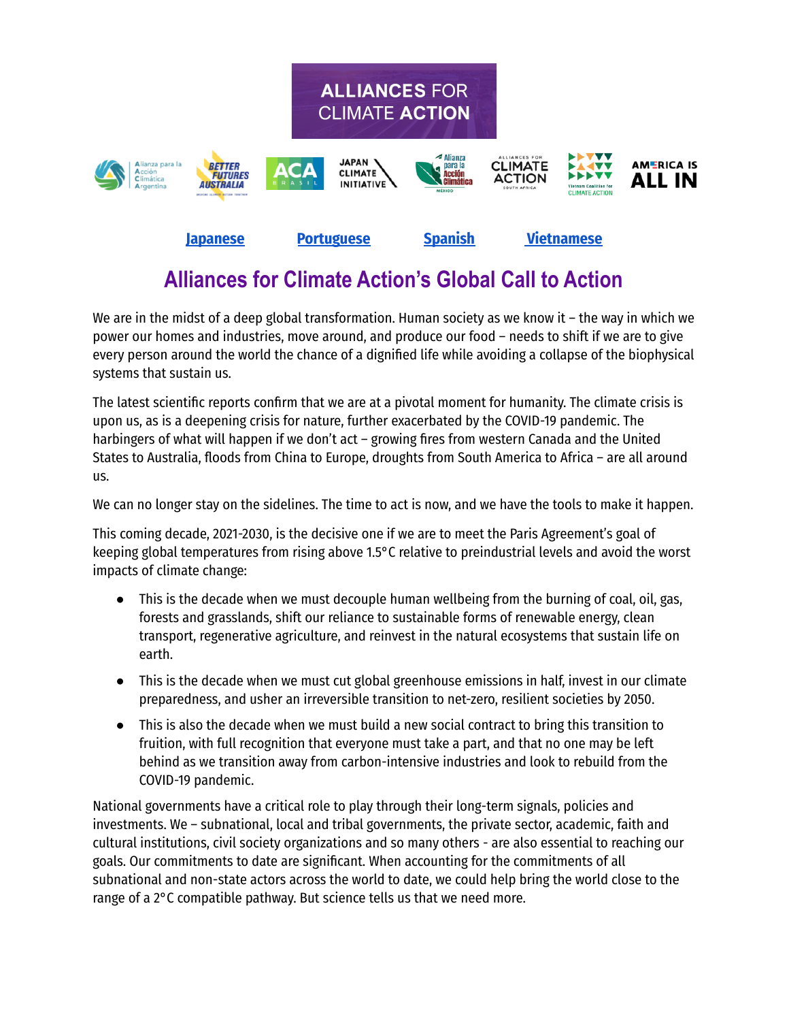

### **Alliances for Climate Action's Global Call to Action**

We are in the midst of a deep global transformation. Human society as we know it – the way in which we power our homes and industries, move around, and produce our food – needs to shift if we are to give every person around the world the chance of a dignified life while avoiding a collapse of the biophysical systems that sustain us.

The latest scientific reports confirm that we are at a pivotal moment for humanity. The climate crisis is upon us, as is a deepening crisis for nature, further exacerbated by the COVID-19 pandemic. The harbingers of what will happen if we don't act – growing fires from western Canada and the United States to Australia, floods from China to Europe, droughts from South America to Africa – are all around us.

We can no longer stay on the sidelines. The time to act is now, and we have the tools to make it happen.

This coming decade, 2021-2030, is the decisive one if we are to meet the Paris Agreement's goal of keeping global temperatures from rising above 1.5°C relative to preindustrial levels and avoid the worst impacts of climate change:

- This is the decade when we must decouple human wellbeing from the burning of coal, oil, gas, forests and grasslands, shift our reliance to sustainable forms of renewable energy, clean transport, regenerative agriculture, and reinvest in the natural ecosystems that sustain life on earth.
- This is the decade when we must cut global greenhouse emissions in half, invest in our climate preparedness, and usher an irreversible transition to net-zero, resilient societies by 2050.
- This is also the decade when we must build a new social contract to bring this transition to fruition, with full recognition that everyone must take a part, and that no one may be left behind as we transition away from carbon-intensive industries and look to rebuild from the COVID-19 pandemic.

National governments have a critical role to play through their long-term signals, policies and investments. We – subnational, local and tribal governments, the private sector, academic, faith and cultural institutions, civil society organizations and so many others - are also essential to reaching our goals. Our commitments to date are significant. When accounting for the commitments of all subnational and non-state actors across the world to date, we could help bring the world close to the range of a 2°C compatible pathway. But science tells us that we need more.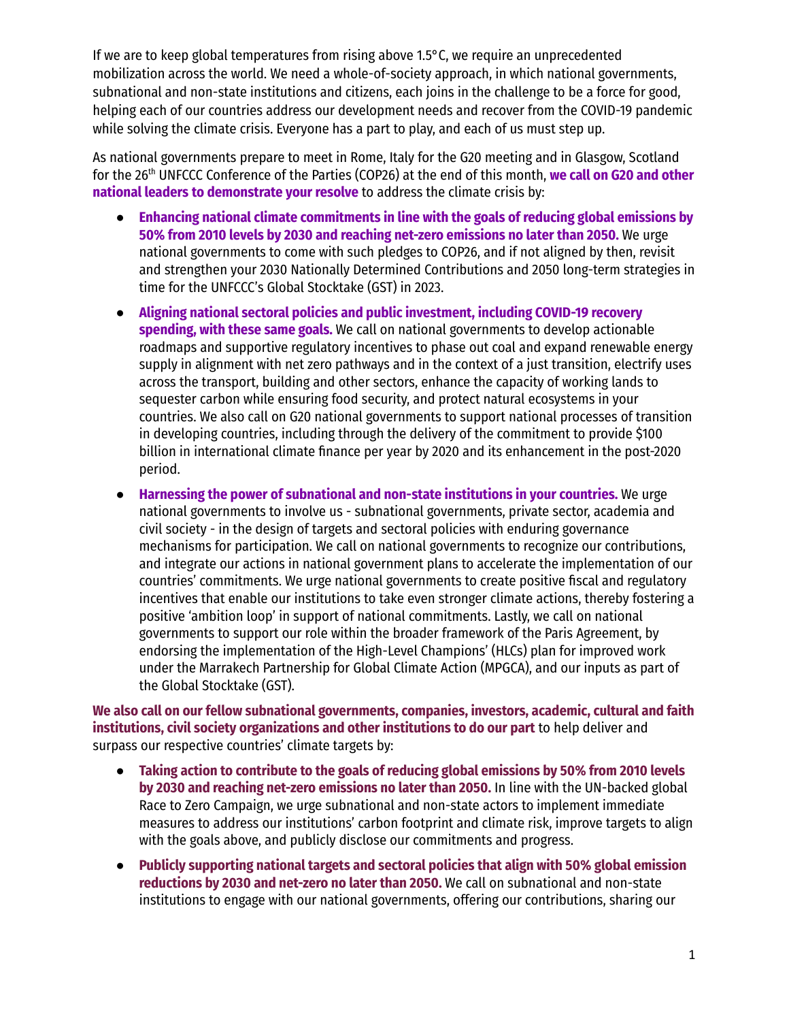If we are to keep global temperatures from rising above 1.5°C, we require an unprecedented mobilization across the world. We need a whole-of-society approach, in which national governments, subnational and non-state institutions and citizens, each joins in the challenge to be a force for good, helping each of our countries address our development needs and recover from the COVID-19 pandemic while solving the climate crisis. Everyone has a part to play, and each of us must step up.

As national governments prepare to meet in Rome, Italy for the G20 meeting and in Glasgow, Scotland for the 26 th UNFCCC Conference of the Parties (COP26) at the end of this month, **we call on G20 and other national leaders to demonstrate your resolve** to address the climate crisis by:

- **Enhancing national climate commitments in line with the goals of reducing global emissions by 50% from 2010 levels by 2030 and reaching net-zero emissions no later than 2050.** We urge national governments to come with such pledges to COP26, and if not aligned by then, revisit and strengthen your 2030 Nationally Determined Contributions and 2050 long-term strategies in time for the UNFCCC's Global Stocktake (GST) in 2023.
- **Aligning national sectoral policies and public investment, including COVID-19 recovery spending, with these same goals.** We call on national governments to develop actionable roadmaps and supportive regulatory incentives to phase out coal and expand renewable energy supply in alignment with net zero pathways and in the context of a just transition, electrify uses across the transport, building and other sectors, enhance the capacity of working lands to sequester carbon while ensuring food security, and protect natural ecosystems in your countries. We also call on G20 national governments to support national processes of transition in developing countries, including through the delivery of the commitment to provide \$100 billion in international climate finance per year by 2020 and its enhancement in the post-2020 period.
- **Harnessing the power of subnational and non-state institutions in your countries.** We urge national governments to involve us - subnational governments, private sector, academia and civil society - in the design of targets and sectoral policies with enduring governance mechanisms for participation. We call on national governments to recognize our contributions, and integrate our actions in national government plans to accelerate the implementation of our countries' commitments. We urge national governments to create positive fiscal and regulatory incentives that enable our institutions to take even stronger climate actions, thereby fostering a positive 'ambition loop' in support of national commitments. Lastly, we call on national governments to support our role within the broader framework of the Paris Agreement, by endorsing the implementation of the High-Level Champions' (HLCs) plan for improved work under the Marrakech Partnership for Global Climate Action (MPGCA), and our inputs as part of the Global Stocktake (GST).

**We also call on our fellow subnational governments, companies, investors, academic, cultural and faith institutions, civil society organizations and other institutions to do our part** to help deliver and surpass our respective countries' climate targets by:

- **Taking action to contribute to the goals of reducing global emissions by 50% from 2010 levels by 2030 and reaching net-zero emissions no later than 2050.** In line with the UN-backed global Race to Zero Campaign, we urge subnational and non-state actors to implement immediate measures to address our institutions' carbon footprint and climate risk, improve targets to align with the goals above, and publicly disclose our commitments and progress.
- **Publicly supporting national targets and sectoral policies that align with 50% global emission reductions by 2030 and net-zero no later than 2050.** We call on subnational and non-state institutions to engage with our national governments, offering our contributions, sharing our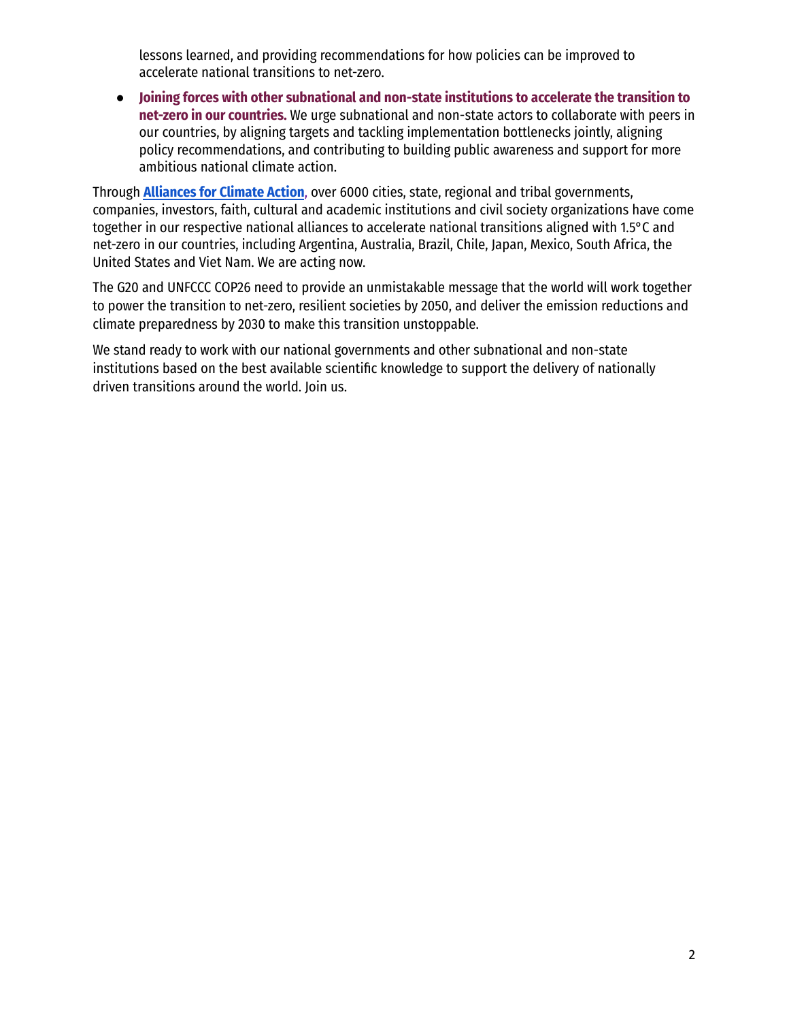lessons learned, and providing recommendations for how policies can be improved to accelerate national transitions to net-zero.

● **Joining forces with other subnational and non-state institutions to accelerate the transition to net-zero in our countries.** We urge subnational and non-state actors to collaborate with peers in our countries, by aligning targets and tackling implementation bottlenecks jointly, aligning policy recommendations, and contributing to building public awareness and support for more ambitious national climate action.

Through **[Alliances](https://www.alliancesforclimateaction.org/) for Climate Action**, over 6000 cities, state, regional and tribal governments, companies, investors, faith, cultural and academic institutions and civil society organizations have come together in our respective national alliances to accelerate national transitions aligned with 1.5°C and net-zero in our countries, including Argentina, Australia, Brazil, Chile, Japan, Mexico, South Africa, the United States and Viet Nam. We are acting now.

The G20 and UNFCCC COP26 need to provide an unmistakable message that the world will work together to power the transition to net-zero, resilient societies by 2050, and deliver the emission reductions and climate preparedness by 2030 to make this transition unstoppable.

We stand ready to work with our national governments and other subnational and non-state institutions based on the best available scientific knowledge to support the delivery of nationally driven transitions around the world. Join us.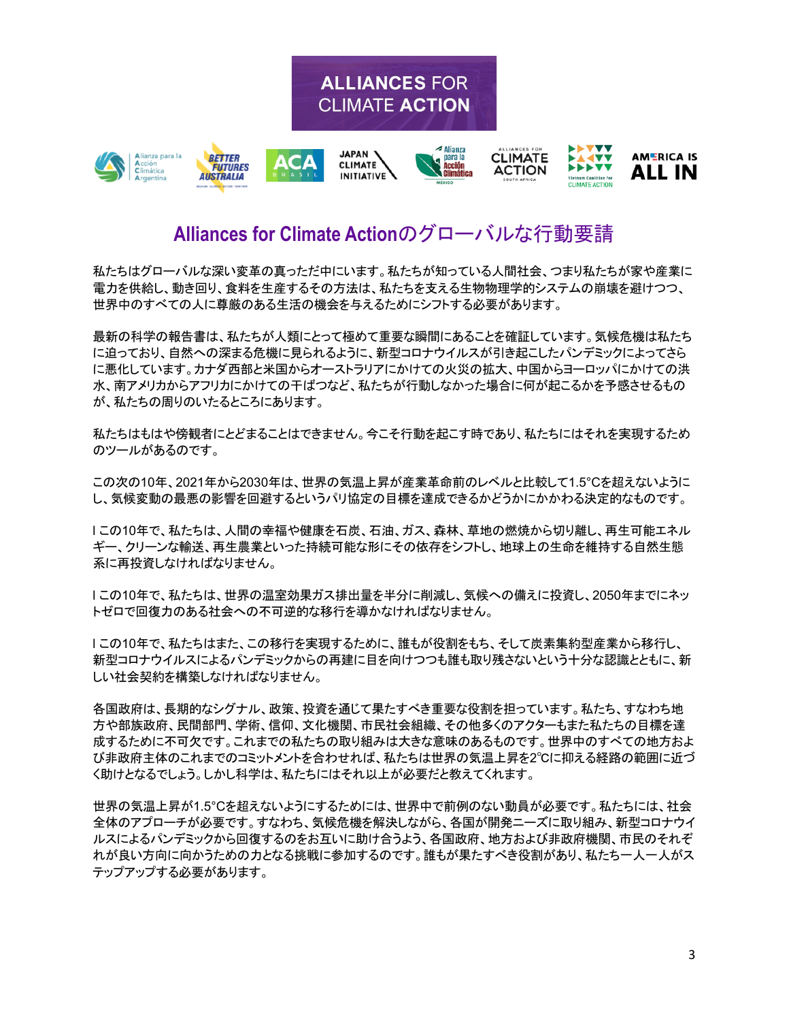

#### **Alliances for Climate Action**のグローバルな行動要請

私たちはグローバルな深い変革の真っただ中にいます。私たちが知っている人間社会、つまり私たちが家や産業に 電力を供給し、動き回り、食料を生産するその方法は、私たちを支える生物物理学的システムの崩壊を避けつつ、 世界中のすべての人に尊厳のある生活の機会を与えるためにシフトする必要があります。

最新の科学の報告書は、私たちが人類にとって極めて重要な瞬間にあることを確証しています。気候危機は私たち に迫っており、自然への深まる危機に見られるように、新型コロナウイルスが引き起こしたパンデミックによってさら に悪化しています。カナダ西部と米国からオーストラリアにかけての火災の拡大、中国からヨーロッパにかけての洪 水、南アメリカからアフリカにかけての干ばつなど、私たちが行動しなかった場合に何が起こるかを予感させるもの が、私たちの周りのいたるところにあります。

私たちはもはや傍観者にとどまることはできません。今こそ行動を起こす時であり、私たちにはそれを実現するため のツールがあるのです。

この次の10年、2021年から2030年は、世界の気温上昇が産業革命前のレベルと比較して1.5°Cを超えないように し、気候変動の最悪の影響を回避するというパリ協定の目標を達成できるかどうかにかかわる決定的なものです。

l この10年で、私たちは、人間の幸福や健康を石炭、石油、ガス、森林、草地の燃焼から切り離し、再生可能エネル ギー、クリーンな輸送、再生農業といった持続可能な形にその依存をシフトし、地球上の生命を維持する自然生態 系に再投資しなければなりません。

l この10年で、私たちは、世界の温室効果ガス排出量を半分に削減し、気候への備えに投資し、2050年までにネッ トゼロで回復力のある社会への不可逆的な移行を導かなければなりません。

l この10年で、私たちはまた、この移行を実現するために、誰もが役割をもち、そして炭素集約型産業から移行し、 新型コロナウイルスによるパンデミックからの再建に目を向けつつも誰も取り残さないという十分な認識とともに、新 しい社会契約を構築しなければなりません。

各国政府は、長期的なシグナル、政策、投資を通じて果たすべき重要な役割を担っています。私たち、すなわち地 方や部族政府、民間部門、学術、信仰、文化機関、市民社会組織、その他多くのアクターもまた私たちの目標を達 成するために不可欠です。これまでの私たちの取り組みは大きな意味のあるものです。世界中のすべての地方およ び非政府主体のこれまでのコミットメントを合わせれば、私たちは世界の気温上昇を2℃に抑える経路の範囲に近づ く助けとなるでしょう。しかし科学は、私たちにはそれ以上が必要だと教えてくれます。

世界の気温上昇が1.5°Cを超えないようにするためには、世界中で前例のない動員が必要です。私たちには、社会 全体のアプローチが必要です。すなわち、気候危機を解決しながら、各国が開発ニーズに取り組み、新型コロナウイ ルスによるパンデミックから回復するのをお互いに助け合うよう、各国政府、地方および非政府機関、市民のそれぞ れが良い方向に向かうための力となる挑戦に参加するのです。誰もが果たすべき役割があり、私たち一人一人がス テップアップする必要があります。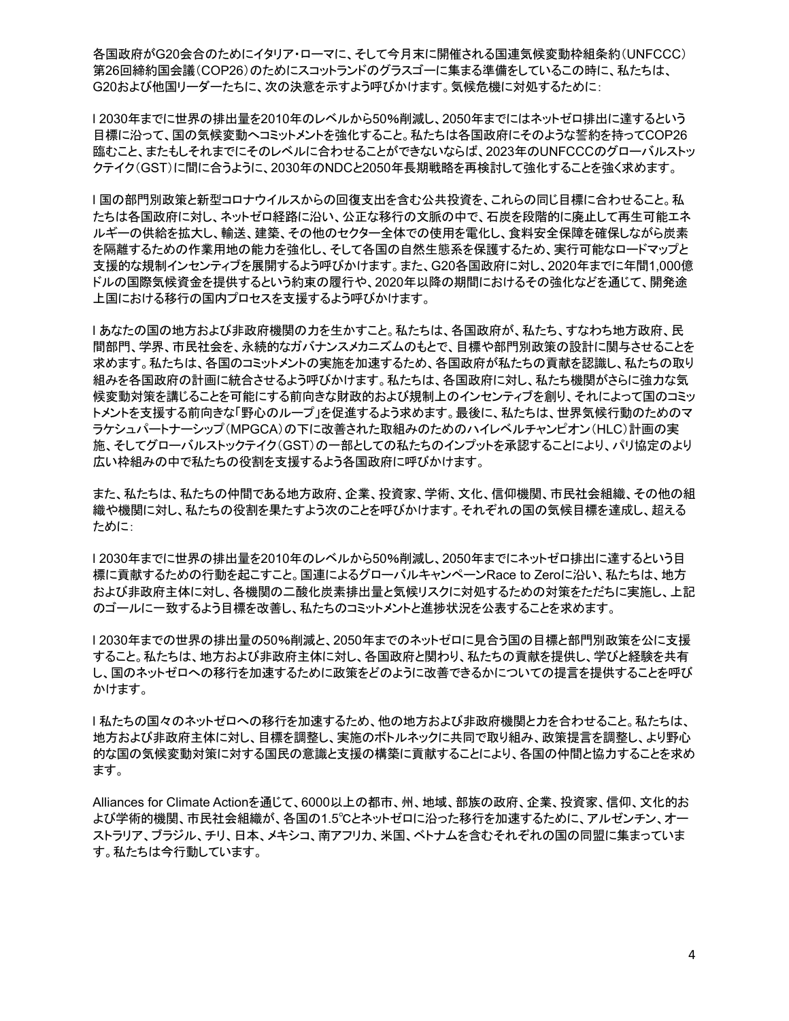各国政府がG20会合のためにイタリア・ローマに、そして今月末に開催される国連気候変動枠組条約(UNFCCC) 第26回締約国会議(COP26)のためにスコットランドのグラスゴーに集まる準備をしているこの時に、私たちは、 G20および他国リーダーたちに、次の決意を示すよう呼びかけます。気候危機に対処するために:

l 2030年までに世界の排出量を2010年のレベルから50%削減し、2050年までにはネットゼロ排出に達するという 目標に沿って、国の気候変動へコミットメントを強化すること。私たちは各国政府にそのような誓約を持ってCOP26 臨むこと、またもしそれまでにそのレベルに合わせることができないならば、2023年のUNFCCCのグローバルストッ クテイク(GST)に間に合うように、2030年のNDCと2050年長期戦略を再検討して強化することを強く求めます。

l 国の部門別政策と新型コロナウイルスからの回復支出を含む公共投資を、これらの同じ目標に合わせること。私 たちは各国政府に対し、ネットゼロ経路に沿い、公正な移行の文脈の中で、石炭を段階的に廃止して再生可能エネ ルギーの供給を拡大し、輸送、建築、その他のセクター全体での使用を電化し、食料安全保障を確保しながら炭素 を隔離するための作業用地の能力を強化し、そして各国の自然生態系を保護するため、実行可能なロードマップと 支援的な規制インセンティブを展開するよう呼びかけます。また、G20各国政府に対し、2020年までに年間1,000億 ドルの国際気候資金を提供するという約束の履行や、2020年以降の期間におけるその強化などを通じて、開発途 上国における移行の国内プロセスを支援するよう呼びかけます。

l あなたの国の地方および非政府機関の力を生かすこと。私たちは、各国政府が、私たち、すなわち地方政府、民 間部門、学界、市民社会を、永続的なガバナンスメカニズムのもとで、目標や部門別政策の設計に関与させることを 求めます。私たちは、各国のコミットメントの実施を加速するため、各国政府が私たちの貢献を認識し、私たちの取り 組みを各国政府の計画に統合させるよう呼びかけます。私たちは、各国政府に対し、私たち機関がさらに強力な気 候変動対策を講じることを可能にする前向きな財政的および規制上のインセンティブを創り、それによって国のコミッ トメントを支援する前向きな「野心のループ」を促進するよう求めます。最後に、私たちは、世界気候行動のためのマ ラケシュパートナーシップ(MPGCA)の下に改善された取組みのためのハイレベルチャンピオン(HLC)計画の実 施、そしてグローバルストックテイク(GST)の一部としての私たちのインプットを承認することにより、パリ協定のより 広い枠組みの中で私たちの役割を支援するよう各国政府に呼びかけます。

また、私たちは、私たちの仲間である地方政府、企業、投資家、学術、文化、信仰機関、市民社会組織、その他の組 織や機関に対し、私たちの役割を果たすよう次のことを呼びかけます。それぞれの国の気候目標を達成し、超える ために:

l 2030年までに世界の排出量を2010年のレベルから50%削減し、2050年までにネットゼロ排出に達するという目 標に貢献するための行動を起こすこと。国連によるグローバルキャンペーンRace to Zeroに沿い、私たちは、地方 および非政府主体に対し、各機関の二酸化炭素排出量と気候リスクに対処するための対策をただちに実施し、上記 のゴールに一致するよう目標を改善し、私たちのコミットメントと進捗状況を公表することを求めます。

l 2030年までの世界の排出量の50%削減と、2050年までのネットゼロに見合う国の目標と部門別政策を公に支援 すること。私たちは、地方および非政府主体に対し、各国政府と関わり、私たちの貢献を提供し、学びと経験を共有 し、国のネットゼロへの移行を加速するために政策をどのように改善できるかについての提言を提供することを呼び かけます。

l 私たちの国々のネットゼロへの移行を加速するため、他の地方および非政府機関と力を合わせること。私たちは、 地方および非政府主体に対し、目標を調整し、実施のボトルネックに共同で取り組み、政策提言を調整し、より野心 的な国の気候変動対策に対する国民の意識と支援の構築に貢献することにより、各国の仲間と協力することを求め ます。

Alliances for Climate Actionを通じて、6000以上の都市、州、地域、部族の政府、企業、投資家、信仰、文化的お よび学術的機関、市民社会組織が、各国の1.5℃とネットゼロに沿った移行を加速するために、アルゼンチン、オー ストラリア、ブラジル、チリ、日本、メキシコ、南アフリカ、米国、ベトナムを含むそれぞれの国の同盟に集まっていま す。私たちは今行動しています。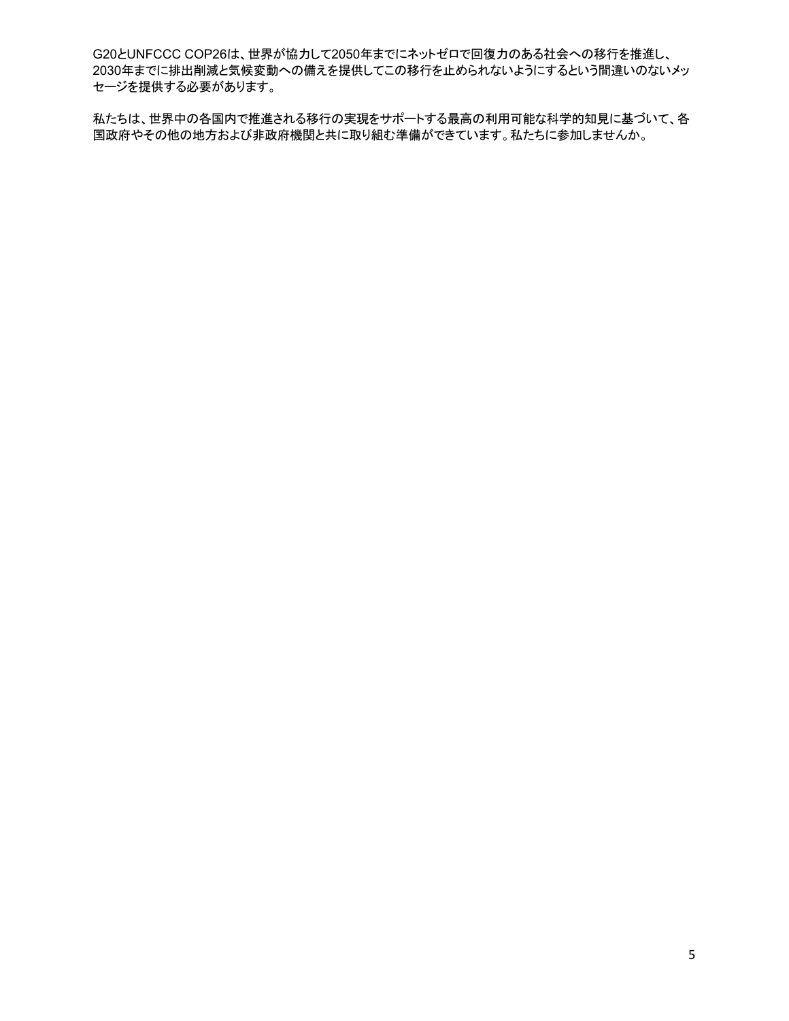G20とUNFCCC COP26は、世界が協力して2050年までにネットゼロで回復力のある社会への移行を推進し、 2030年までに排出削減と気候変動への備えを提供してこの移行を止められないようにするという間違いのないメッ セージを提供する必要があります。

私たちは、世界中の各国内で推進される移行の実現をサポートする最高の利用可能な科学的知見に基づいて、各 国政府やその他の地方および非政府機関と共に取り組む準備ができています。私たちに参加しませんか。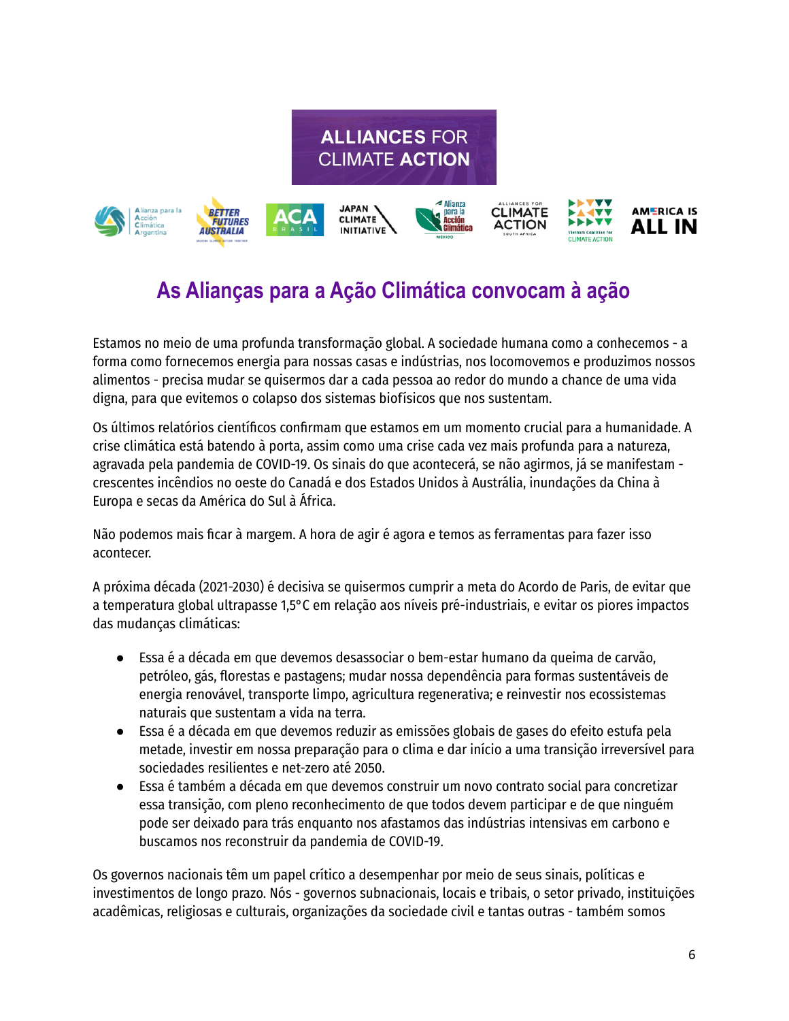



# **As Alianças para a Ação Climática convocam à ação**

Estamos no meio de uma profunda transformação global. A sociedade humana como a conhecemos - a forma como fornecemos energia para nossas casas e indústrias, nos locomovemos e produzimos nossos alimentos - precisa mudar se quisermos dar a cada pessoa ao redor do mundo a chance de uma vida digna, para que evitemos o colapso dos sistemas biofísicos que nos sustentam.

Os últimos relatórios científicos confirmam que estamos em um momento crucial para a humanidade. A crise climática está batendo à porta, assim como uma crise cada vez mais profunda para a natureza, agravada pela pandemia de COVID-19. Os sinais do que acontecerá, se não agirmos, já se manifestam crescentes incêndios no oeste do Canadá e dos Estados Unidos à Austrália, inundações da China à Europa e secas da América do Sul à África.

Não podemos mais ficar à margem. A hora de agir é agora e temos as ferramentas para fazer isso acontecer.

A próxima década (2021-2030) é decisiva se quisermos cumprir a meta do Acordo de Paris, de evitar que a temperatura global ultrapasse 1,5°C em relação aos níveis pré-industriais, e evitar os piores impactos das mudanças climáticas:

- Essa é a década em que devemos desassociar o bem-estar humano da queima de carvão, petróleo, gás, florestas e pastagens; mudar nossa dependência para formas sustentáveis de energia renovável, transporte limpo, agricultura regenerativa; e reinvestir nos ecossistemas naturais que sustentam a vida na terra.
- Essa é a década em que devemos reduzir as emissões globais de gases do efeito estufa pela metade, investir em nossa preparação para o clima e dar início a uma transição irreversível para sociedades resilientes e net-zero até 2050.
- Essa é também a década em que devemos construir um novo contrato social para concretizar essa transição, com pleno reconhecimento de que todos devem participar e de que ninguém pode ser deixado para trás enquanto nos afastamos das indústrias intensivas em carbono e buscamos nos reconstruir da pandemia de COVID-19.

Os governos nacionais têm um papel crítico a desempenhar por meio de seus sinais, políticas e investimentos de longo prazo. Nós - governos subnacionais, locais e tribais, o setor privado, instituições acadêmicas, religiosas e culturais, organizações da sociedade civil e tantas outras - também somos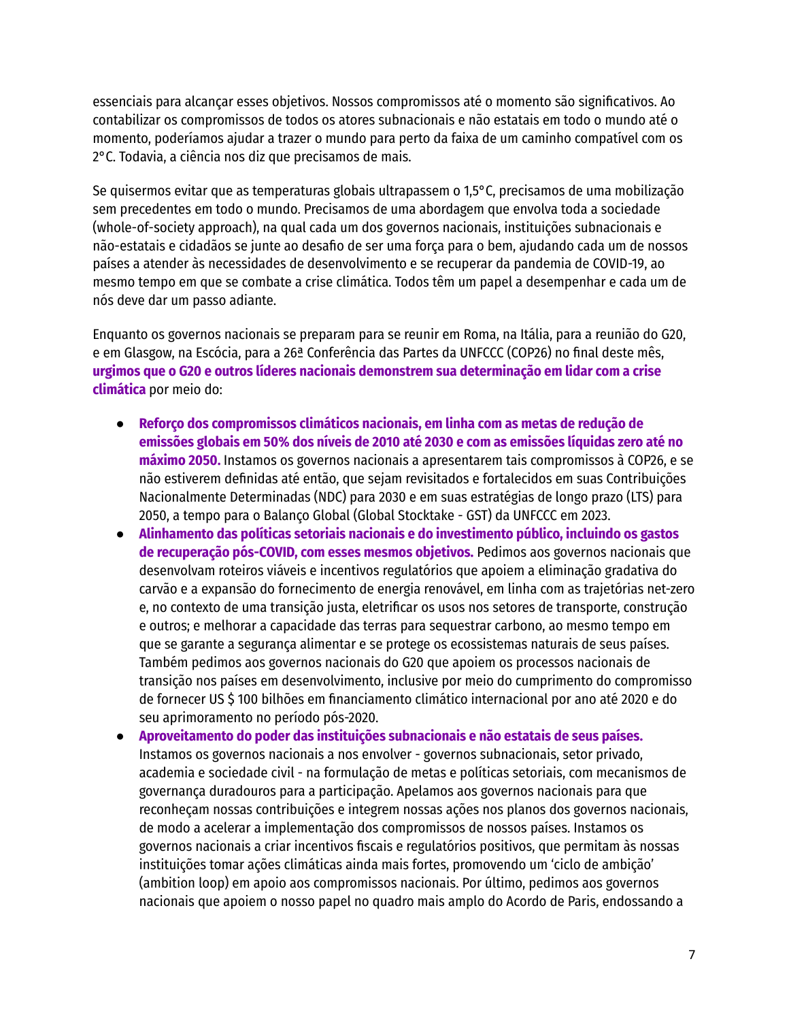essenciais para alcançar esses objetivos. Nossos compromissos até o momento são significativos. Ao contabilizar os compromissos de todos os atores subnacionais e não estatais em todo o mundo até o momento, poderíamos ajudar a trazer o mundo para perto da faixa de um caminho compatível com os 2°C. Todavia, a ciência nos diz que precisamos de mais.

Se quisermos evitar que as temperaturas globais ultrapassem o 1,5°C, precisamos de uma mobilização sem precedentes em todo o mundo. Precisamos de uma abordagem que envolva toda a sociedade (whole-of-society approach), na qual cada um dos governos nacionais, instituições subnacionais e não-estatais e cidadãos se junte ao desafio de ser uma força para o bem, ajudando cada um de nossos países a atender às necessidades de desenvolvimento e se recuperar da pandemia de COVID-19, ao mesmo tempo em que se combate a crise climática. Todos têm um papel a desempenhar e cada um de nós deve dar um passo adiante.

Enquanto os governos nacionais se preparam para se reunir em Roma, na Itália, para a reunião do G20, e em Glasgow, na Escócia, para a 26ª Conferência das Partes da UNFCCC (COP26) no final deste mês, **urgimos que o G20 e outros líderes nacionais demonstrem sua determinação em lidar com a crise climática** por meio do:

- **Reforço dos compromissos climáticos nacionais, em linha com as metas de redução de emissões globais em 50% dos níveis de 2010 até 2030 e com as emissões líquidas zero até no máximo 2050.** Instamos os governos nacionais a apresentarem tais compromissos à COP26, e se não estiverem definidas até então, que sejam revisitados e fortalecidos em suas Contribuições Nacionalmente Determinadas (NDC) para 2030 e em suas estratégias de longo prazo (LTS) para 2050, a tempo para o Balanço Global (Global Stocktake - GST) da UNFCCC em 2023.
- **Alinhamento das políticas setoriais nacionais e do investimento público, incluindo os gastos de recuperação pós-COVID, com esses mesmos objetivos.** Pedimos aos governos nacionais que desenvolvam roteiros viáveis e incentivos regulatórios que apoiem a eliminação gradativa do carvão e a expansão do fornecimento de energia renovável, em linha com as trajetórias net-zero e, no contexto de uma transição justa, eletrificar os usos nos setores de transporte, construção e outros; e melhorar a capacidade das terras para sequestrar carbono, ao mesmo tempo em que se garante a segurança alimentar e se protege os ecossistemas naturais de seus países. Também pedimos aos governos nacionais do G20 que apoiem os processos nacionais de transição nos países em desenvolvimento, inclusive por meio do cumprimento do compromisso de fornecer US \$ 100 bilhões em financiamento climático internacional por ano até 2020 e do seu aprimoramento no período pós-2020.
- **Aproveitamento do poder das instituições subnacionais e não estatais de seus países.** Instamos os governos nacionais a nos envolver - governos subnacionais, setor privado, academia e sociedade civil - na formulação de metas e políticas setoriais, com mecanismos de governança duradouros para a participação. Apelamos aos governos nacionais para que reconheçam nossas contribuições e integrem nossas ações nos planos dos governos nacionais, de modo a acelerar a implementação dos compromissos de nossos países. Instamos os governos nacionais a criar incentivos fiscais e regulatórios positivos, que permitam às nossas instituições tomar ações climáticas ainda mais fortes, promovendo um 'ciclo de ambição' (ambition loop) em apoio aos compromissos nacionais. Por último, pedimos aos governos nacionais que apoiem o nosso papel no quadro mais amplo do Acordo de Paris, endossando a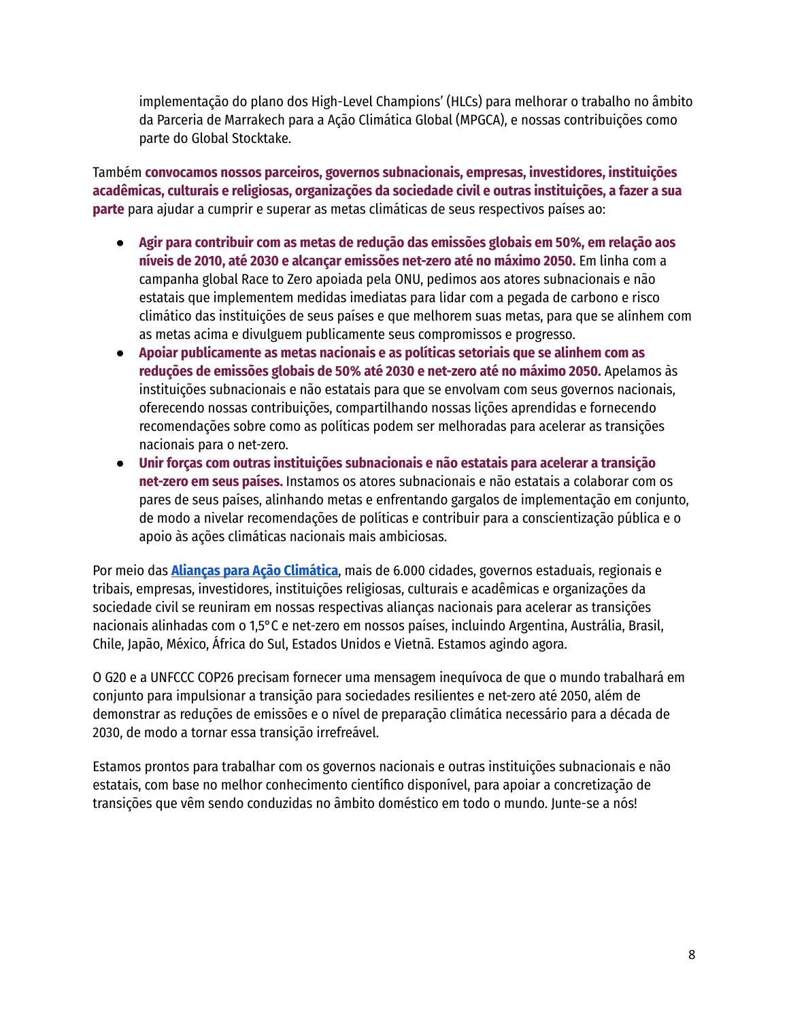implementação do plano dos High-Level Champions' (HLCs) para melhorar o trabalho no âmbito da Parceria de Marrakech para a Ação Climática Global (MPGCA), e nossas contribuições como parte do Global Stocktake.

Também **convocamos nossos parceiros, governos subnacionais, empresas, investidores, instituições acadêmicas, culturais e religiosas, organizações da sociedade civil e outras instituições, a fazer a sua parte** para ajudar a cumprir e superar as metas climáticas de seus respectivos países ao:

- **Agir para contribuir com as metas de redução das emissões globais em 50%, em relação aos níveis de 2010, até 2030 e alcançar emissões net-zero até no máximo 2050.** Em linha com a campanha global Race to Zero apoiada pela ONU, pedimos aos atores subnacionais e não estatais que implementem medidas imediatas para lidar com a pegada de carbono e risco climático das instituições de seus países e que melhorem suas metas, para que se alinhem com as metas acima e divulguem publicamente seus compromissos e progresso.
- **Apoiar publicamente as metas nacionais e as políticas setoriais que se alinhem com as reduções de emissões globais de 50% até 2030 e net-zero até no máximo 2050.** Apelamos às instituições subnacionais e não estatais para que se envolvam com seus governos nacionais, oferecendo nossas contribuições, compartilhando nossas lições aprendidas e fornecendo recomendações sobre como as políticas podem ser melhoradas para acelerar as transições nacionais para o net-zero.
- **Unir forças com outras instituições subnacionais e não estatais para acelerar a transição net-zero em seus países.** Instamos os atores subnacionais e não estatais a colaborar com os pares de seus países, alinhando metas e enfrentando gargalos de implementação em conjunto, de modo a nivelar recomendações de políticas e contribuir para a conscientização pública e o apoio às ações climáticas nacionais mais ambiciosas.

Por meio das **Alianças para Ação [Climática](https://www.alliancesforclimateaction.org/)**, mais de 6.000 cidades, governos estaduais, regionais e tribais, empresas, investidores, instituições religiosas, culturais e acadêmicas e organizações da sociedade civil se reuniram em nossas respectivas alianças nacionais para acelerar as transições nacionais alinhadas com o 1,5°C e net-zero em nossos países, incluindo Argentina, Austrália, Brasil, Chile, Japão, México, África do Sul, Estados Unidos e Vietnã. Estamos agindo agora.

O G20 e a UNFCCC COP26 precisam fornecer uma mensagem inequívoca de que o mundo trabalhará em conjunto para impulsionar a transição para sociedades resilientes e net-zero até 2050, além de demonstrar as reduções de emissões e o nível de preparação climática necessário para a década de 2030, de modo a tornar essa transição irrefreável.

Estamos prontos para trabalhar com os governos nacionais e outras instituições subnacionais e não estatais, com base no melhor conhecimento científico disponível, para apoiar a concretização de transições que vêm sendo conduzidas no âmbito doméstico em todo o mundo. Junte-se a nós!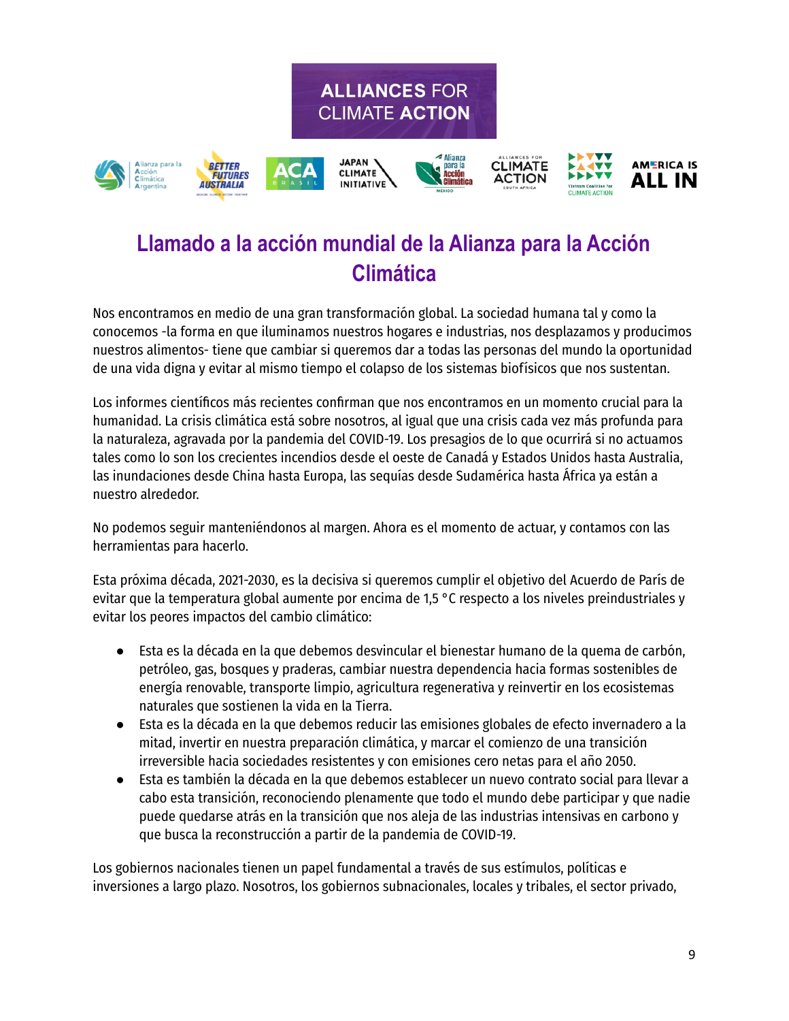

**ALLIANCES FOR** 

## **Llamado a la acción mundial de la Alianza para la Acción Climática**

Nos encontramos en medio de una gran transformación global. La sociedad humana tal y como la conocemos -la forma en que iluminamos nuestros hogares e industrias, nos desplazamos y producimos nuestros alimentos- tiene que cambiar si queremos dar a todas las personas del mundo la oportunidad de una vida digna y evitar al mismo tiempo el colapso de los sistemas biofísicos que nos sustentan.

Los informes científicos más recientes confirman que nos encontramos en un momento crucial para la humanidad. La crisis climática está sobre nosotros, al igual que una crisis cada vez más profunda para la naturaleza, agravada por la pandemia del COVID-19. Los presagios de lo que ocurrirá si no actuamos tales como lo son los crecientes incendios desde el oeste de Canadá y Estados Unidos hasta Australia, las inundaciones desde China hasta Europa, las sequías desde Sudamérica hasta África ya están a nuestro alrededor.

No podemos seguir manteniéndonos al margen. Ahora es el momento de actuar, y contamos con las herramientas para hacerlo.

Esta próxima década, 2021-2030, es la decisiva si queremos cumplir el objetivo del Acuerdo de París de evitar que la temperatura global aumente por encima de 1,5 °C respecto a los niveles preindustriales y evitar los peores impactos del cambio climático:

- Esta es la década en la que debemos desvincular el bienestar humano de la quema de carbón, petróleo, gas, bosques y praderas, cambiar nuestra dependencia hacia formas sostenibles de energía renovable, transporte limpio, agricultura regenerativa y reinvertir en los ecosistemas naturales que sostienen la vida en la Tierra.
- Esta es la década en la que debemos reducir las emisiones globales de efecto invernadero a la mitad, invertir en nuestra preparación climática, y marcar el comienzo de una transición irreversible hacia sociedades resistentes y con emisiones cero netas para el año 2050.
- Esta es también la década en la que debemos establecer un nuevo contrato social para llevar a cabo esta transición, reconociendo plenamente que todo el mundo debe participar y que nadie puede quedarse atrás en la transición que nos aleja de las industrias intensivas en carbono y que busca la reconstrucción a partir de la pandemia de COVID-19.

Los gobiernos nacionales tienen un papel fundamental a través de sus estímulos, políticas e inversiones a largo plazo. Nosotros, los gobiernos subnacionales, locales y tribales, el sector privado,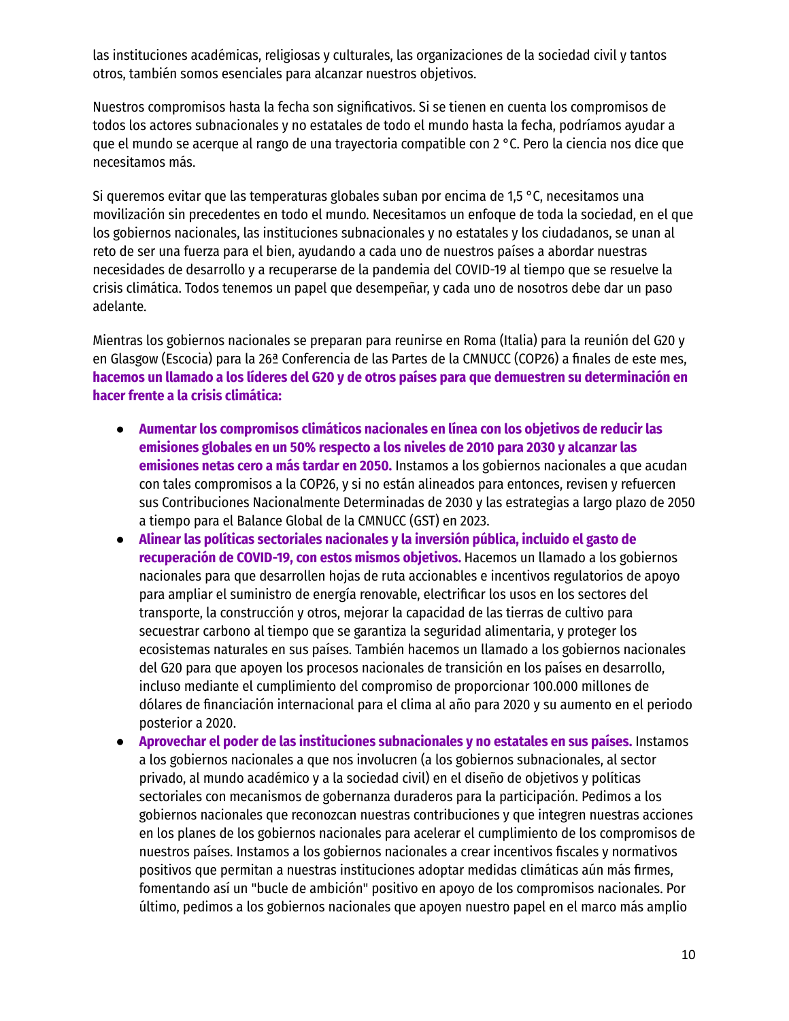las instituciones académicas, religiosas y culturales, las organizaciones de la sociedad civil y tantos otros, también somos esenciales para alcanzar nuestros objetivos.

Nuestros compromisos hasta la fecha son significativos. Si se tienen en cuenta los compromisos de todos los actores subnacionales y no estatales de todo el mundo hasta la fecha, podríamos ayudar a que el mundo se acerque al rango de una trayectoria compatible con 2 °C. Pero la ciencia nos dice que necesitamos más.

Si queremos evitar que las temperaturas globales suban por encima de 1,5 °C, necesitamos una movilización sin precedentes en todo el mundo. Necesitamos un enfoque de toda la sociedad, en el que los gobiernos nacionales, las instituciones subnacionales y no estatales y los ciudadanos, se unan al reto de ser una fuerza para el bien, ayudando a cada uno de nuestros países a abordar nuestras necesidades de desarrollo y a recuperarse de la pandemia del COVID-19 al tiempo que se resuelve la crisis climática. Todos tenemos un papel que desempeñar, y cada uno de nosotros debe dar un paso adelante.

Mientras los gobiernos nacionales se preparan para reunirse en Roma (Italia) para la reunión del G20 y en Glasgow (Escocia) para la 26ª Conferencia de las Partes de la CMNUCC (COP26) a finales de este mes, **hacemos un llamado a los líderes del G20 y de otros países para que demuestren su determinación en hacer frente a la crisis climática:**

- **Aumentar los compromisos climáticos nacionales en línea con los objetivos de reducir las emisiones globales en un 50% respecto a los niveles de 2010 para 2030 y alcanzar las emisiones netas cero a más tardar en 2050.** Instamos a los gobiernos nacionales a que acudan con tales compromisos a la COP26, y si no están alineados para entonces, revisen y refuercen sus Contribuciones Nacionalmente Determinadas de 2030 y las estrategias a largo plazo de 2050 a tiempo para el Balance Global de la CMNUCC (GST) en 2023.
- **Alinear las políticas sectoriales nacionales y la inversión pública, incluido el gasto de recuperación de COVID-19, con estos mismos objetivos.** Hacemos un llamado a los gobiernos nacionales para que desarrollen hojas de ruta accionables e incentivos regulatorios de apoyo para ampliar el suministro de energía renovable, electrificar los usos en los sectores del transporte, la construcción y otros, mejorar la capacidad de las tierras de cultivo para secuestrar carbono al tiempo que se garantiza la seguridad alimentaria, y proteger los ecosistemas naturales en sus países. También hacemos un llamado a los gobiernos nacionales del G20 para que apoyen los procesos nacionales de transición en los países en desarrollo, incluso mediante el cumplimiento del compromiso de proporcionar 100.000 millones de dólares de financiación internacional para el clima al año para 2020 y su aumento en el periodo posterior a 2020.
- **Aprovechar el poder de las instituciones subnacionales y no estatales en sus países.** Instamos a los gobiernos nacionales a que nos involucren (a los gobiernos subnacionales, al sector privado, al mundo académico y a la sociedad civil) en el diseño de objetivos y políticas sectoriales con mecanismos de gobernanza duraderos para la participación. Pedimos a los gobiernos nacionales que reconozcan nuestras contribuciones y que integren nuestras acciones en los planes de los gobiernos nacionales para acelerar el cumplimiento de los compromisos de nuestros países. Instamos a los gobiernos nacionales a crear incentivos fiscales y normativos positivos que permitan a nuestras instituciones adoptar medidas climáticas aún más firmes, fomentando así un "bucle de ambición" positivo en apoyo de los compromisos nacionales. Por último, pedimos a los gobiernos nacionales que apoyen nuestro papel en el marco más amplio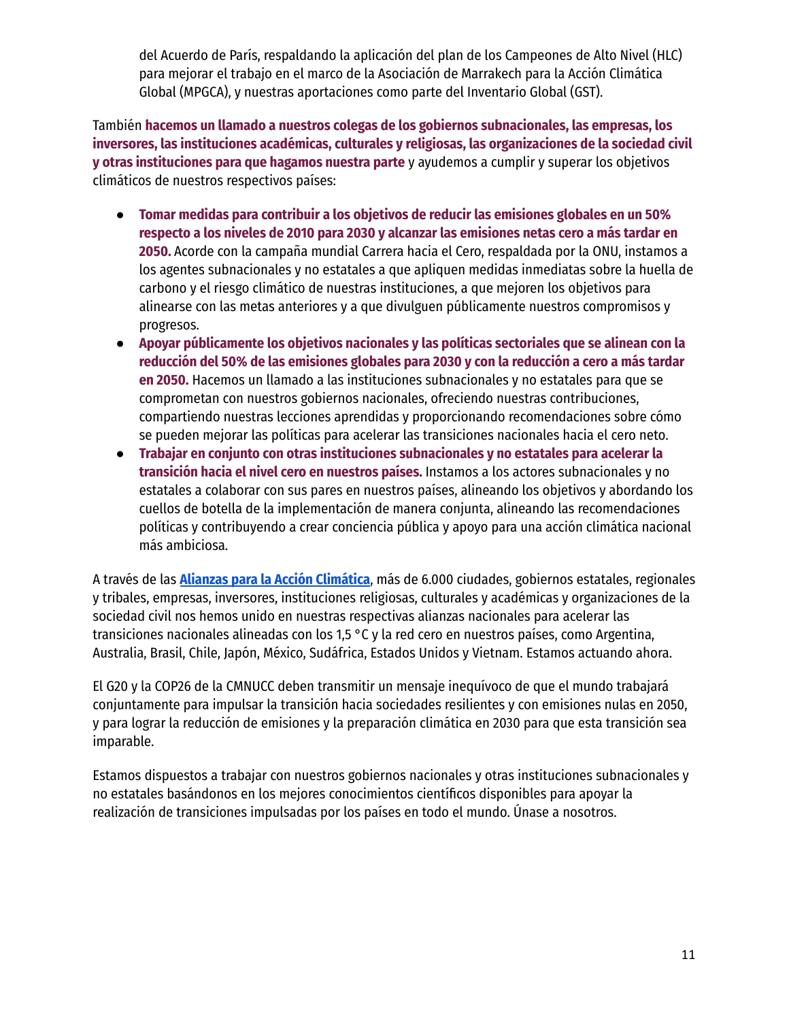del Acuerdo de París, respaldando la aplicación del plan de los Campeones de Alto Nivel (HLC) para mejorar el trabajo en el marco de la Asociación de Marrakech para la Acción Climática Global (MPGCA), y nuestras aportaciones como parte del Inventario Global (GST).

También **hacemos un llamado a nuestros colegas de los gobiernos subnacionales, las empresas, los inversores, las instituciones académicas, culturales y religiosas, las organizaciones de la sociedad civil y otras instituciones para que hagamos nuestra parte** y ayudemos a cumplir y superar los objetivos climáticos de nuestros respectivos países:

- **Tomar medidas para contribuir a los objetivos de reducir las emisiones globales en un 50% respecto a los niveles de 2010 para 2030 y alcanzar las emisiones netas cero a más tardar en 2050.** Acorde con la campaña mundial Carrera hacia el Cero, respaldada por la ONU, instamos a los agentes subnacionales y no estatales a que apliquen medidas inmediatas sobre la huella de carbono y el riesgo climático de nuestras instituciones, a que mejoren los objetivos para alinearse con las metas anteriores y a que divulguen públicamente nuestros compromisos y progresos.
- **Apoyar públicamente los objetivos nacionales y las políticas sectoriales que se alinean con la reducción del 50% de las emisiones globales para 2030 y con la reducción a cero a más tardar en 2050.** Hacemos un llamado a las instituciones subnacionales y no estatales para que se comprometan con nuestros gobiernos nacionales, ofreciendo nuestras contribuciones, compartiendo nuestras lecciones aprendidas y proporcionando recomendaciones sobre cómo se pueden mejorar las políticas para acelerar las transiciones nacionales hacia el cero neto.
- **Trabajar en conjunto con otras instituciones subnacionales y no estatales para acelerar la transición hacia el nivel cero en nuestros países.** Instamos a los actores subnacionales y no estatales a colaborar con sus pares en nuestros países, alineando los objetivos y abordando los cuellos de botella de la implementación de manera conjunta, alineando las recomendaciones políticas y contribuyendo a crear conciencia pública y apoyo para una acción climática nacional más ambiciosa.

A través de las **Alianzas para la Acción [Climática](https://www.alliancesforclimateaction.org/)**, más de 6.000 ciudades, gobiernos estatales, regionales y tribales, empresas, inversores, instituciones religiosas, culturales y académicas y organizaciones de la sociedad civil nos hemos unido en nuestras respectivas alianzas nacionales para acelerar las transiciones nacionales alineadas con los 1,5 °C y la red cero en nuestros países, como Argentina, Australia, Brasil, Chile, Japón, México, Sudáfrica, Estados Unidos y Vietnam. Estamos actuando ahora.

El G20 y la COP26 de la CMNUCC deben transmitir un mensaje inequívoco de que el mundo trabajará conjuntamente para impulsar la transición hacia sociedades resilientes y con emisiones nulas en 2050, y para lograr la reducción de emisiones y la preparación climática en 2030 para que esta transición sea imparable.

Estamos dispuestos a trabajar con nuestros gobiernos nacionales y otras instituciones subnacionales y no estatales basándonos en los mejores conocimientos científicos disponibles para apoyar la realización de transiciones impulsadas por los países en todo el mundo. Únase a nosotros.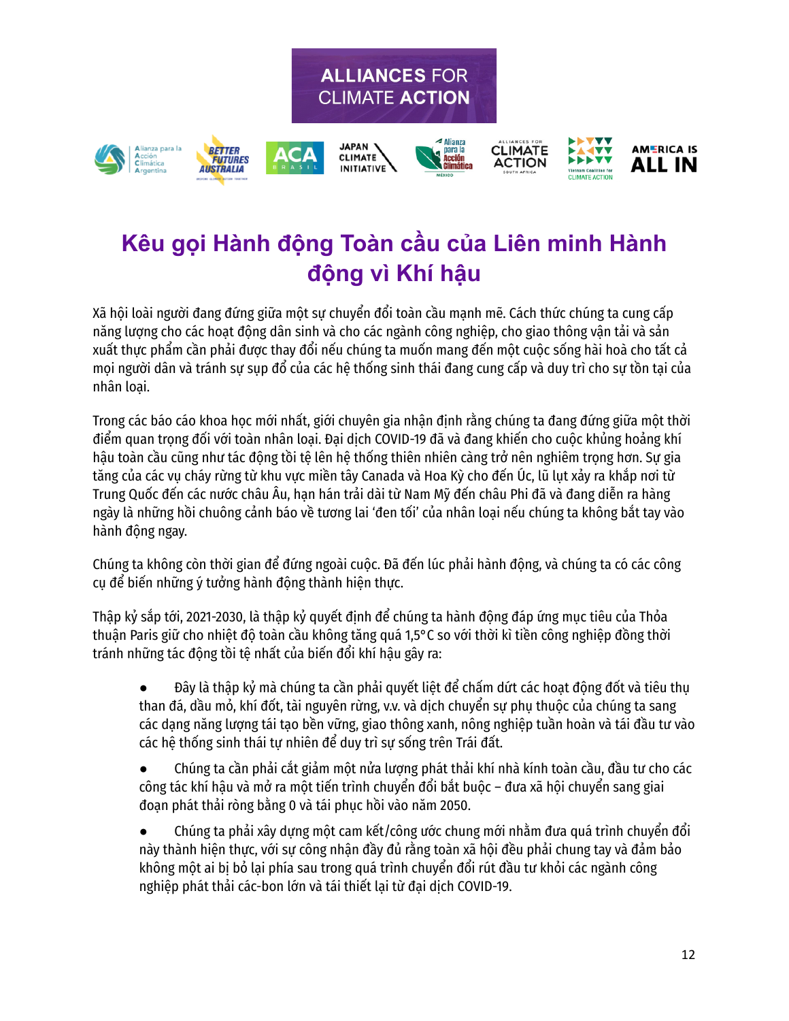



# **Kêu gọi Hành động Toàn cầu của Liên minh Hành động vì Khí hậu**

Xã hội loài người đang đứng giữa một sự chuyển đổi toàn cầu mạnh mẽ. Cách thức chúng ta cung cấp năng lượng cho các hoạt động dân sinh và cho các ngành công nghiệp, cho giao thông vận tải và sản xuất thực phẩm cần phải được thay đổi nếu chúng ta muốn mang đến một cuộc sống hài hoà cho tất cả mọi người dân và tránh sự sụp đổ của các hệ thống sinh thái đang cung cấp và duy trì cho sự tồn tại của nhân loại.

Trong các báo cáo khoa học mới nhất, giới chuyên gia nhân định rằng chúng ta đang đứng giữa một thời điểm quan trọng đối với toàn nhân loại. Đại dịch COVID-19 đã và đang khiến cho cuộc khủng hoảng khí hậu toàn cầu cũng như tác động tồi tệ lên hệ thống thiên nhiên càng trở nên nghiêm trọng hơn. Sự gia tăng của các vụ cháy rừng từ khu vực miền tây Canada và Hoa Kỳ cho đến Úc, lũ lụt xảy ra khắp nơi từ Trung Quốc đến các nước châu Âu, hạn hán trải dài từ Nam Mỹ đến châu Phi đã và đang diễn ra hàng ngày là những hồi chuông cảnh báo về tương lai 'đen tối' của nhân loại nếu chúng ta không bắt tay vào hành động ngay.

Chúng ta không còn thời gian để đứng ngoài cuộc. Đã đến lúc phải hành động, và chúng ta có các công cụ để biến những ý tưởng hành động thành hiện thực.

Thập kỷ sắp tới, 2021-2030, là thập kỷ quyết định để chúng ta hành động đáp ứng mục tiêu của Thỏa thuận Paris giữ cho nhiệt độ toàn cầu không tăng quá 1,5°C so với thời kì tiền công nghiệp đồng thời tránh những tác động tồi tệ nhất của biến đổi khí hậu gây ra:

● Dây là thập kỷ mà chúng ta cần phải quyết liệt để chấm dứt các hoạt động đốt và tiêu thu than đá, dầu mỏ, khí đốt, tài nguyên rừng, v.v. và dịch chuyển sự phụ thuộc của chúng ta sang các dạng năng lượng tái tạo bền vững, giao thông xanh, nông nghiệp tuần hoàn và tái đầu tư vào các hệ thống sinh thái tự nhiên để duy trì sự sống trên Trái đất.

● Chúng ta cần phải cắt giảm một nửa lượng phát thải khí nhà kính toàn cầu, đầu tư cho các công tác khí hậu và mở ra một tiến trình chuyển đổi bắt buộc – đưa xã hội chuyển sang giai đoạn phát thải ròng bằng 0 và tái phục hồi vào năm 2050.

Chúng ta phải xây dựng một cam kết/công ước chung mới nhằm đưa quá trình chuyển đổi này thành hiện thực, với sự công nhận đầy đủ rằng toàn xã hội đều phải chung tay và đảm bảo không một ai bị bỏ lại phía sau trong quá trình chuyển đổi rút đầu tư khỏi các ngành công nghiệp phát thải các-bon lớn và tái thiết lại từ đại dịch COVID-19.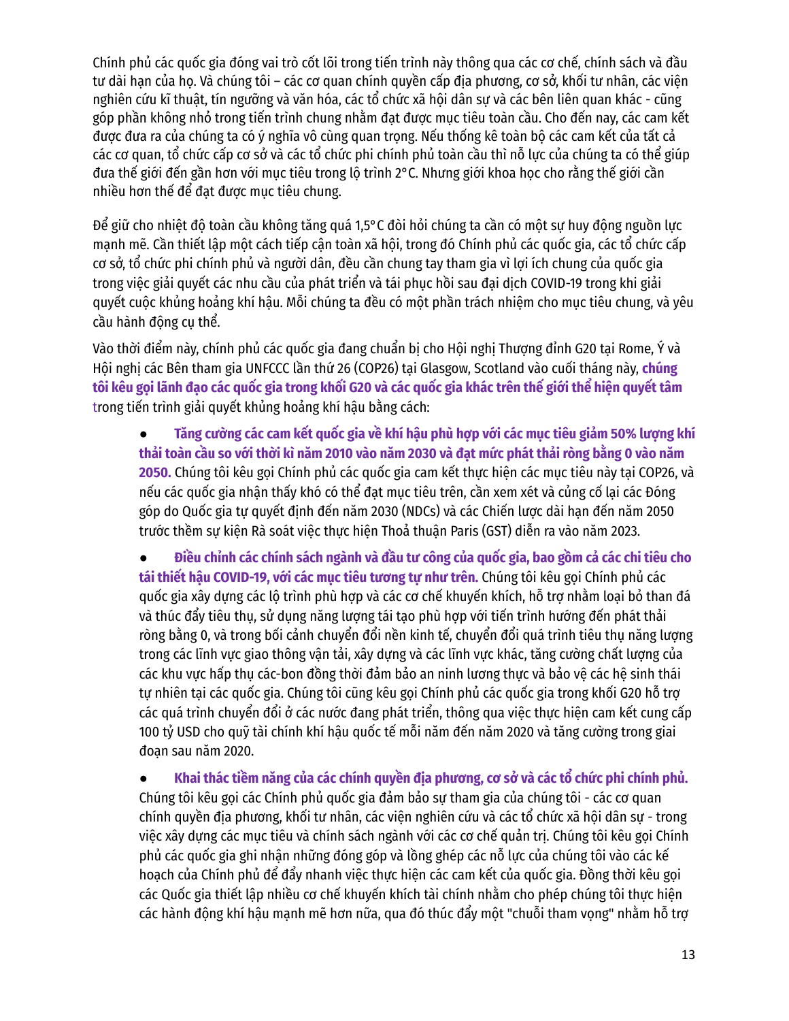Chính phủ các quốc gia đóng vai trò cốt lõi trong tiến trình này thông qua các cơ chế, chính sách và đầu tư dài hạn của họ. Và chúng tôi – các cơ quan chính quyền cấp địa phương, cơ sở, khối tư nhân, các viện nghiên cứu kĩ thuật, tín ngưỡng và văn hóa, các tổ chức xã hội dân sự và các bên liên quan khác - cũng góp phần không nhỏ trong tiến trình chung nhằm đạt được mục tiêu toàn cầu. Cho đến nay, các cam kết được đưa ra của chúng ta có ý nghĩa vô cùng quan trọng. Nếu thống kê toàn bộ các cam kết của tất cả các cơ quan, tổ chức cấp cơ sở và các tổ chức phi chính phủ toàn cầu thì nỗ lực của chúng ta có thể giúp đưa thế giới đến gần hơn với mục tiêu trong lộ trình 2°C. Nhưng giới khoa học cho rằng thế giới cần nhiều hơn thế để đạt được mục tiêu chung.

Để giữ cho nhiệt độ toàn cầu không tăng quá 1,5°C đòi hỏi chúng ta cần có một sự huy động nguồn lực mạnh mẽ. Cần thiết lập một cách tiếp cận toàn xã hội, trong đó Chính phủ các quốc gia, các tổ chức cấp cơ sở, tổ chức phi chính phủ và người dân, đều cần chung tay tham gia vì lợi ích chung của quốc gia trong việc giải quyết các nhu cầu của phát triển và tái phục hồi sau đại dịch COVID-19 trong khi giải quyết cuộc khủng hoảng khí hậu. Mỗi chúng ta đều có một phần trách nhiệm cho mục tiêu chung, và yêu cầu hành động cụ thể.

Vào thời điểm này, chính phủ các quốc gia đang chuẩn bị cho Hội nghị Thượng đỉnh G20 tại Rome, Ý và Hội nghị các Bên tham gia UNFCCC lần thứ 26 (COP26) tại Glasgow, Scotland vào cuối tháng này, **chúng** tôi kêu gọi lãnh đạo các quốc gia trong khối G20 và các quốc gia khác trên thế giới thể hiện quyết tâm trong tiến trình giải quyết khủng hoảng khí hậu bằng cách:

Tăng cường các cam kết quốc gia về khí hâu phù hợp với các mục tiêu giảm 50% lượng khí thải toàn cầu so với thời kì năm 2010 vào năm 2030 và đạt mức phát thải ròng bằng 0 vào năm **2050.** Chúng tôi kêu gọi Chính phủ các quốc gia cam kết thực hiện các mục tiêu này tại COP26, và nếu các quốc gia nhận thấy khó có thể đạt mục tiêu trên, cần xem xét và củng cố lại các Đóng góp do Quốc gia tự quyết định đến năm 2030 (NDCs) và các Chiến lược dài hạn đến năm 2050 trước thềm sự kiện Rà soát việc thực hiện Thoả thuận Paris (GST) diễn ra vào năm 2023.

• Điều chỉnh các chính sách ngành và đầu tư công của quốc gia, bao gồm cả các chi tiêu cho **tái thiết hậu COVID-19, với các mục tiêu tương tự như trên.** Chúng tôi kêu gọi Chính phủ các quốc gia xây dựng các lộ trình phù hợp và các cơ chế khuyến khích, hỗ trợ nhằm loại bỏ than đá và thúc đẩy tiêu thụ, sử dụng năng lượng tái tạo phù hợp với tiến trình hướng đến phát thải ròng bằng 0, và trong bối cảnh chuyển đổi nền kinh tế, chuyển đổi quá trình tiêu thụ năng lượng trong các lĩnh vực giao thông vận tải, xây dựng và các lĩnh vực khác, tăng cường chất lượng của các khu vực hấp thụ các-bon đồng thời đảm bảo an ninh lương thực và bảo vệ các hệ sinh thái tự nhiên tại các quốc gia. Chúng tôi cũng kêu gọi Chính phủ các quốc gia trong khối G20 hỗ trợ các quá trình chuyển đổi ở các nước đang phát triển, thông qua việc thực hiện cam kết cung cấp 100 tỷ USD cho quỹ tài chính khí hậu quốc tế mỗi năm đến năm 2020 và tăng cường trong giai đoạn sau năm 2020.

● **Khai thác tiềm năng của các chính quyền địa phương, cơ sở và các tổ chức phi chính phủ.** Chúng tôi kêu gọi các Chính phủ quốc gia đảm bảo sự tham gia của chúng tôi - các cơ quan chính quyền địa phương, khối tư nhân, các viện nghiên cứu và các tổ chức xã hội dân sự - trong việc xây dựng các mục tiêu và chính sách ngành với các cơ chế quản trị. Chúng tôi kêu gọi Chính phủ các quốc gia ghi nhận những đóng góp và lồng ghép các nỗ lực của chúng tôi vào các kế hoạch của Chính phủ để đẩy nhanh việc thực hiện các cam kết của quốc gia. Đồng thời kêu gọi các Quốc gia thiết lập nhiều cơ chế khuyến khích tài chính nhằm cho phép chúng tôi thực hiện các hành động khí hậu mạnh mẽ hơn nữa, qua đó thúc đẩy một "chuỗi tham vọng" nhằm hỗ trợ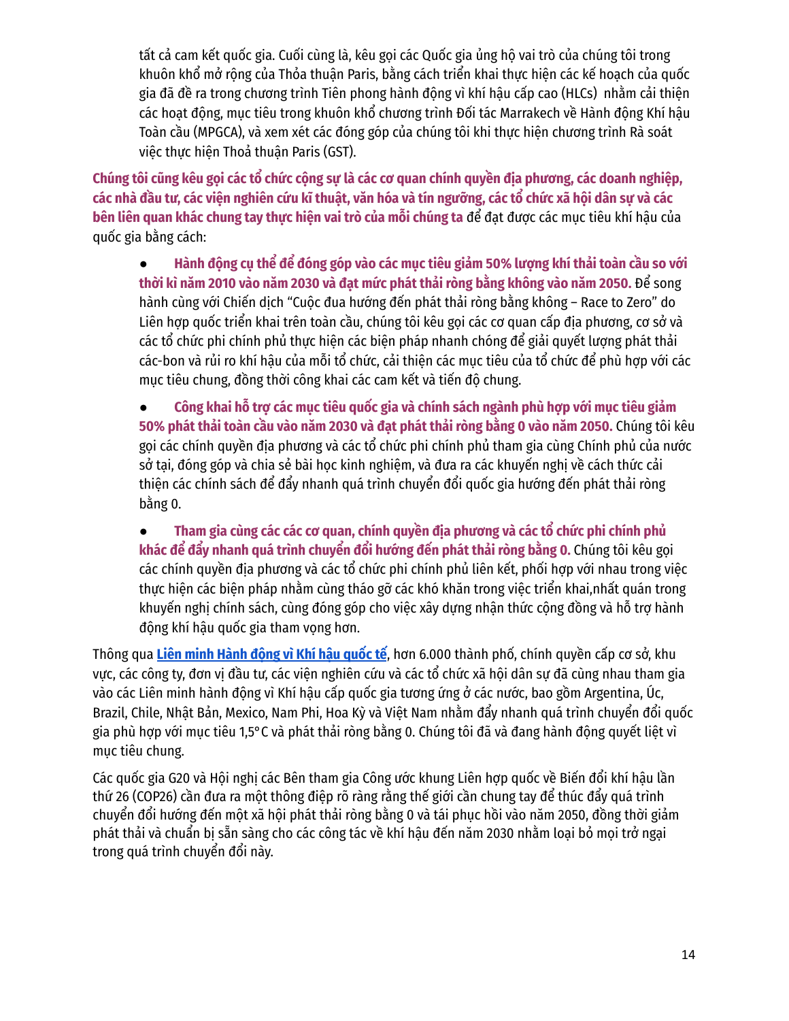tất cả cam kết quốc gia. Cuối cùng là, kêu gọi các Quốc gia ủng hộ vai trò của chúng tôi trong khuôn khổ mở rộng của Thỏa thuận Paris, bằng cách triển khai thực hiện các kế hoạch của quốc gia đã đề ra trong chương trình Tiên phong hành động vì khí hậu cấp cao (HLCs) nhằm cải thiện các hoạt động, mục tiêu trong khuôn khổ chương trình Đối tác Marrakech về Hành động Khí hậu Toàn cầu (MPGCA), và xem xét các đóng góp của chúng tôi khi thực hiện chương trình Rà soát việc thực hiện Thoả thuận Paris (GST).

Chúng tôi cũng kêu gọi các tổ chức công sư là các cơ quan chính quyền địa phương, các doanh nghiệp, các nhà đầu tư, các viện nghiên cứu kĩ thuật, văn hóa và tín ngưỡng, các tổ chức xã hội dân sự và các **bên liên quan khác chung tay thực hiện vai trò của mỗi chúng ta** để đạt được các mục tiêu khí hậu của quốc gia bằng cách:

Hành đông cu thể để đóng góp vào các muc tiêu giảm 50% lương khí thải toàn cầu so với **thời kì năm 2010 vào năm 2030 và đạt mức phát thải ròng bằng không vào năm 2050.** Để song hành cùng với Chiến dịch "Cuộc đua hướng đến phát thải ròng bằng không – Race to Zero" do Liên hợp quốc triển khai trên toàn cầu, chúng tôi kêu gọi các cơ quan cấp địa phương, cơ sở và các tổ chức phi chính phủ thực hiện các biện pháp nhanh chóng để giải quyết lượng phát thải các-bon và rủi ro khí hậu của mỗi tổ chức, cải thiện các mục tiêu của tổ chức để phù hợp với các mục tiêu chung, đồng thời công khai các cam kết và tiến độ chung.

● **Công khai hỗ trợ các mục tiêu quốc gia và chính sách ngành phù hợp với mục tiêu giảm 50% phát thải toàn cầu vào năm 2030 và đạt phát thải ròng bằng 0 vào năm 2050.** Chúng tôi kêu gọi các chính quyền địa phương và các tổ chức phi chính phủ tham gia cùng Chính phủ của nước sở tại, đóng góp và chia sẻ bài học kinh nghiệm, và đưa ra các khuyến nghị về cách thức cải thiện các chính sách để đẩy nhanh quá trình chuyển đổi quốc gia hướng đến phát thải ròng bằng 0.

● **Tham gia cùng các các cơ quan, chính quyền địa phương và các tổ chức phi chính phủ khác để đẩy nhanh quá trình chuyển đổi hướng đến phát thải ròng bằng 0.** Chúng tôi kêu gọi các chính quyền địa phương và các tổ chức phi chính phủ liên kết, phối hợp với nhau trong việc thực hiện các biện pháp nhằm cùng tháo gỡ các khó khăn trong việc triển khai,nhất quán trong khuyến nghị chính sách, cùng đóng góp cho việc xây dựng nhận thức cộng đồng và hỗ trợ hành đông khí hậu quốc gia tham vong hơn.

Thông qua **Liên minh [Hành](https://www.alliancesforclimateaction.org/) động vì Khí hậu quốc tế**, hơn 6.000 thành phố, chính quyền cấp cơ sở, khu vực, các công ty, đơn vị đầu tư, các viện nghiên cứu và các tổ chức xã hội dân sự đã cùng nhau tham gia vào các Liên minh hành động vì Khí hậu cấp quốc gia tương ứng ở các nước, bao gồm Argentina, Úc, Brazil, Chile, Nhật Bản, Mexico, Nam Phi, Hoa Kỳ và Việt Nam nhằm đẩy nhanh quá trình chuyển đổi quốc gia phù hợp với mục tiêu 1,5°C và phát thải ròng bằng 0. Chúng tôi đã và đang hành động quyết liệt vì mục tiêu chung.

Các quốc gia G20 và Hội nghị các Bên tham gia Công ước khung Liên hợp quốc về Biến đổi khí hậu lần thứ 26 (COP26) cần đưa ra một thông điệp rõ ràng rằng thế giới cần chung tay để thúc đẩy quá trình chuyển đổi hướng đến một xã hội phát thải ròng bằng 0 và tái phục hồi vào năm 2050, đồng thời giảm phát thải và chuẩn bị sẵn sàng cho các công tác về khí hậu đến năm 2030 nhằm loại bỏ mọi trở ngại trong quá trình chuyển đổi này.